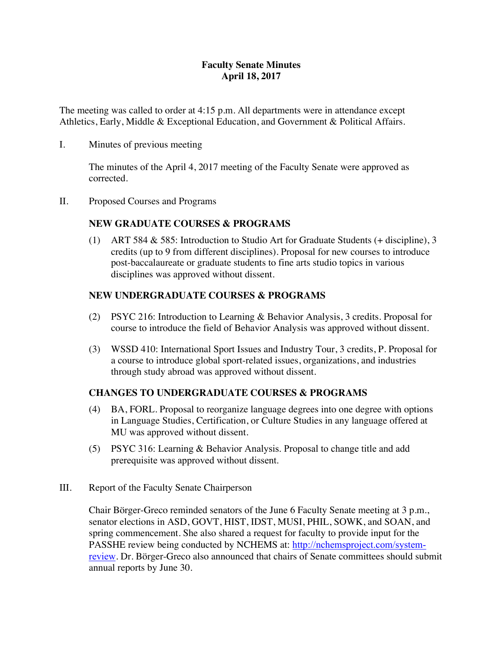# **Faculty Senate Minutes April 18, 2017**

The meeting was called to order at 4:15 p.m. All departments were in attendance except Athletics, Early, Middle & Exceptional Education, and Government & Political Affairs.

I. Minutes of previous meeting

The minutes of the April 4, 2017 meeting of the Faculty Senate were approved as corrected.

II. Proposed Courses and Programs

# **NEW GRADUATE COURSES & PROGRAMS**

(1) ART 584 & 585: Introduction to Studio Art for Graduate Students (+ discipline), 3 credits (up to 9 from different disciplines). Proposal for new courses to introduce post-baccalaureate or graduate students to fine arts studio topics in various disciplines was approved without dissent.

# **NEW UNDERGRADUATE COURSES & PROGRAMS**

- (2) PSYC 216: Introduction to Learning & Behavior Analysis, 3 credits. Proposal for course to introduce the field of Behavior Analysis was approved without dissent.
- (3) WSSD 410: International Sport Issues and Industry Tour, 3 credits, P. Proposal for a course to introduce global sport-related issues, organizations, and industries through study abroad was approved without dissent.

# **CHANGES TO UNDERGRADUATE COURSES & PROGRAMS**

- (4) BA, FORL. Proposal to reorganize language degrees into one degree with options in Language Studies, Certification, or Culture Studies in any language offered at MU was approved without dissent.
- (5) PSYC 316: Learning & Behavior Analysis. Proposal to change title and add prerequisite was approved without dissent.
- III. Report of the Faculty Senate Chairperson

Chair Börger-Greco reminded senators of the June 6 Faculty Senate meeting at 3 p.m., senator elections in ASD, GOVT, HIST, IDST, MUSI, PHIL, SOWK, and SOAN, and spring commencement. She also shared a request for faculty to provide input for the PASSHE review being conducted by NCHEMS at: http://nchemsproject.com/systemreview. Dr. Börger-Greco also announced that chairs of Senate committees should submit annual reports by June 30.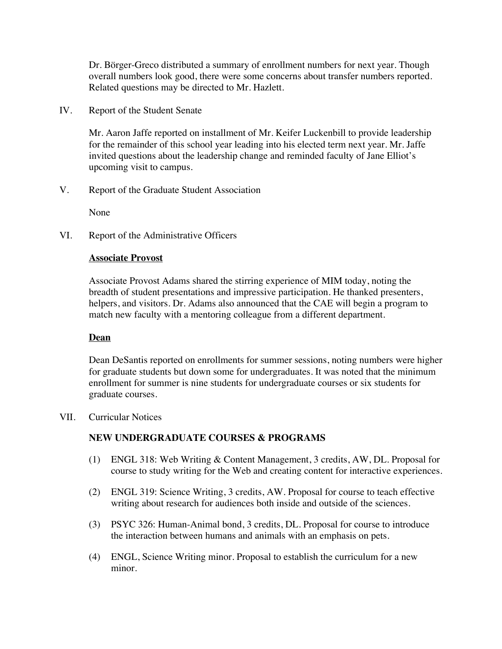Dr. Börger-Greco distributed a summary of enrollment numbers for next year. Though overall numbers look good, there were some concerns about transfer numbers reported. Related questions may be directed to Mr. Hazlett.

IV. Report of the Student Senate

Mr. Aaron Jaffe reported on installment of Mr. Keifer Luckenbill to provide leadership for the remainder of this school year leading into his elected term next year. Mr. Jaffe invited questions about the leadership change and reminded faculty of Jane Elliot's upcoming visit to campus.

V. Report of the Graduate Student Association

None

VI. Report of the Administrative Officers

#### **Associate Provost**

Associate Provost Adams shared the stirring experience of MIM today, noting the breadth of student presentations and impressive participation. He thanked presenters, helpers, and visitors. Dr. Adams also announced that the CAE will begin a program to match new faculty with a mentoring colleague from a different department.

### **Dean**

Dean DeSantis reported on enrollments for summer sessions, noting numbers were higher for graduate students but down some for undergraduates. It was noted that the minimum enrollment for summer is nine students for undergraduate courses or six students for graduate courses.

VII. Curricular Notices

### **NEW UNDERGRADUATE COURSES & PROGRAMS**

- (1) ENGL 318: Web Writing & Content Management, 3 credits, AW, DL. Proposal for course to study writing for the Web and creating content for interactive experiences.
- (2) ENGL 319: Science Writing, 3 credits, AW. Proposal for course to teach effective writing about research for audiences both inside and outside of the sciences.
- (3) PSYC 326: Human-Animal bond, 3 credits, DL. Proposal for course to introduce the interaction between humans and animals with an emphasis on pets.
- (4) ENGL, Science Writing minor. Proposal to establish the curriculum for a new minor.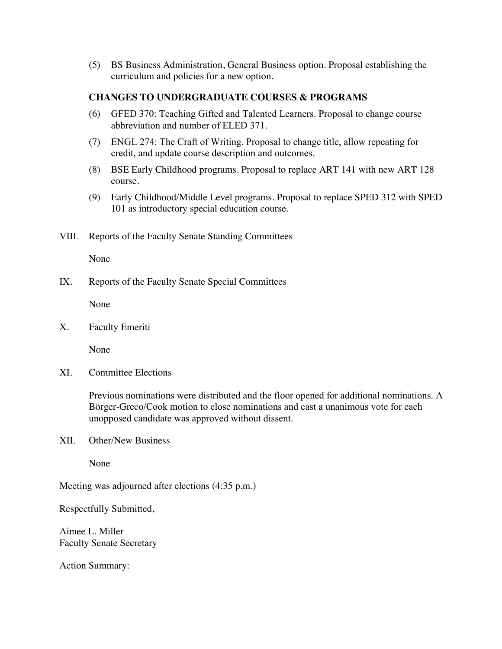(5) BS Business Administration, General Business option. Proposal establishing the curriculum and policies for a new option.

### **CHANGES TO UNDERGRADUATE COURSES & PROGRAMS**

- (6) GFED 370: Teaching Gifted and Talented Learners. Proposal to change course abbreviation and number of ELED 371.
- (7) ENGL 274: The Craft of Writing. Proposal to change title, allow repeating for credit, and update course description and outcomes.
- (8) BSE Early Childhood programs. Proposal to replace ART 141 with new ART 128 course.
- (9) Early Childhood/Middle Level programs. Proposal to replace SPED 312 with SPED 101 as introductory special education course.
- VIII. Reports of the Faculty Senate Standing Committees

None

IX. Reports of the Faculty Senate Special Committees

None

X. Faculty Emeriti

None

XI. Committee Elections

Previous nominations were distributed and the floor opened for additional nominations. A Börger-Greco/Cook motion to close nominations and cast a unanimous vote for each unopposed candidate was approved without dissent.

XII. Other/New Business

None

Meeting was adjourned after elections (4:35 p.m.)

Respectfully Submitted,

Aimee L. Miller Faculty Senate Secretary

Action Summary: